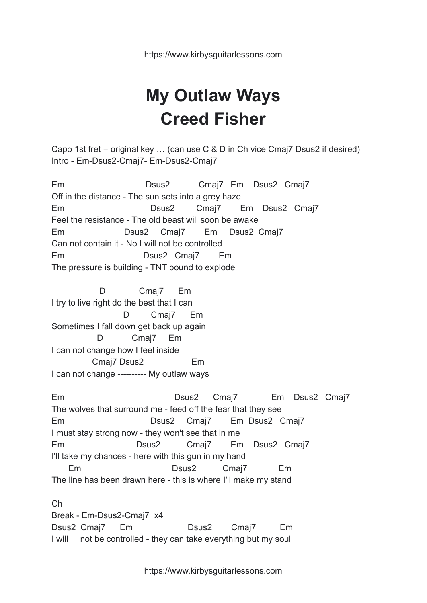https://www.kirbysguitarlessons.com

## **My Outlaw Ways Creed Fisher**

Capo 1st fret = original key … (can use C & D in Ch vice Cmaj7 Dsus2 if desired) Intro - Em-Dsus2-Cmaj7- Em-Dsus2-Cmaj7

Em Dsus2 Cmaj7 Em Dsus2 Cmaj7 Off in the distance - The sun sets into a grey haze Em Dsus2 Cmaj7 Em Dsus2 Cmaj7 Feel the resistance - The old beast will soon be awake Em Dsus2 Cmaj7 Em Dsus2 Cmaj7 Can not contain it - No I will not be controlled Em Dsus2 Cmaj7 Em The pressure is building - TNT bound to explode

D Cmaj7 Em I try to live right do the best that I can D Cmaj7 Em Sometimes I fall down get back up again D Cmaj7 Em I can not change how I feel inside Cmaj7 Dsus2 Em I can not change ---------- My outlaw ways

Em Dsus2 Cmaj7 Em Dsus2 Cmaj7 The wolves that surround me - feed off the fear that they see Em Dsus2 Cmaj7 Em Dsus2 Cmaj7 I must stay strong now - they won't see that in me Em Dsus2 Cmaj7 Em Dsus2 Cmaj7 I'll take my chances - here with this gun in my hand Em Dsus2 Cmaj7 Em The line has been drawn here - this is where I'll make my stand

Ch Break - Em-Dsus2-Cmaj7 x4 Dsus2 Cmaj7 Em Dsus2 Cmaj7 Em I will not be controlled - they can take everything but my soul

https://www.kirbysguitarlessons.com